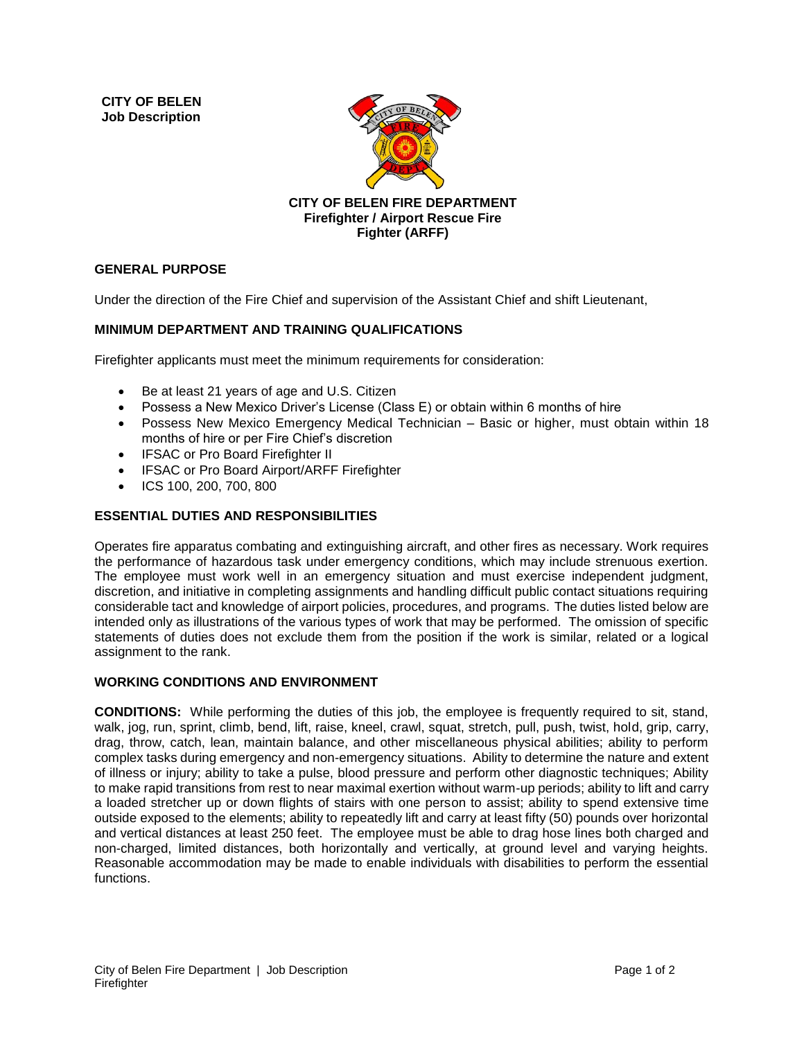**CITY OF BELEN Job Description** 



**CITY OF BELEN FIRE DEPARTMENT Firefighter / Airport Rescue Fire Fighter (ARFF)**

## **GENERAL PURPOSE**

Under the direction of the Fire Chief and supervision of the Assistant Chief and shift Lieutenant,

## **MINIMUM DEPARTMENT AND TRAINING QUALIFICATIONS**

Firefighter applicants must meet the minimum requirements for consideration:

- Be at least 21 years of age and U.S. Citizen
- Possess a New Mexico Driver's License (Class E) or obtain within 6 months of hire
- Possess New Mexico Emergency Medical Technician Basic or higher, must obtain within 18 months of hire or per Fire Chief's discretion
- IFSAC or Pro Board Firefighter II
- IFSAC or Pro Board Airport/ARFF Firefighter
- ICS 100, 200, 700, 800

## **ESSENTIAL DUTIES AND RESPONSIBILITIES**

Operates fire apparatus combating and extinguishing aircraft, and other fires as necessary. Work requires the performance of hazardous task under emergency conditions, which may include strenuous exertion. The employee must work well in an emergency situation and must exercise independent judgment, discretion, and initiative in completing assignments and handling difficult public contact situations requiring considerable tact and knowledge of airport policies, procedures, and programs. The duties listed below are intended only as illustrations of the various types of work that may be performed. The omission of specific statements of duties does not exclude them from the position if the work is similar, related or a logical assignment to the rank.

## **WORKING CONDITIONS AND ENVIRONMENT**

**CONDITIONS:** While performing the duties of this job, the employee is frequently required to sit, stand, walk, jog, run, sprint, climb, bend, lift, raise, kneel, crawl, squat, stretch, pull, push, twist, hold, grip, carry, drag, throw, catch, lean, maintain balance, and other miscellaneous physical abilities; ability to perform complex tasks during emergency and non-emergency situations. Ability to determine the nature and extent of illness or injury; ability to take a pulse, blood pressure and perform other diagnostic techniques; Ability to make rapid transitions from rest to near maximal exertion without warm-up periods; ability to lift and carry a loaded stretcher up or down flights of stairs with one person to assist; ability to spend extensive time outside exposed to the elements; ability to repeatedly lift and carry at least fifty (50) pounds over horizontal and vertical distances at least 250 feet. The employee must be able to drag hose lines both charged and non-charged, limited distances, both horizontally and vertically, at ground level and varying heights. Reasonable accommodation may be made to enable individuals with disabilities to perform the essential functions.